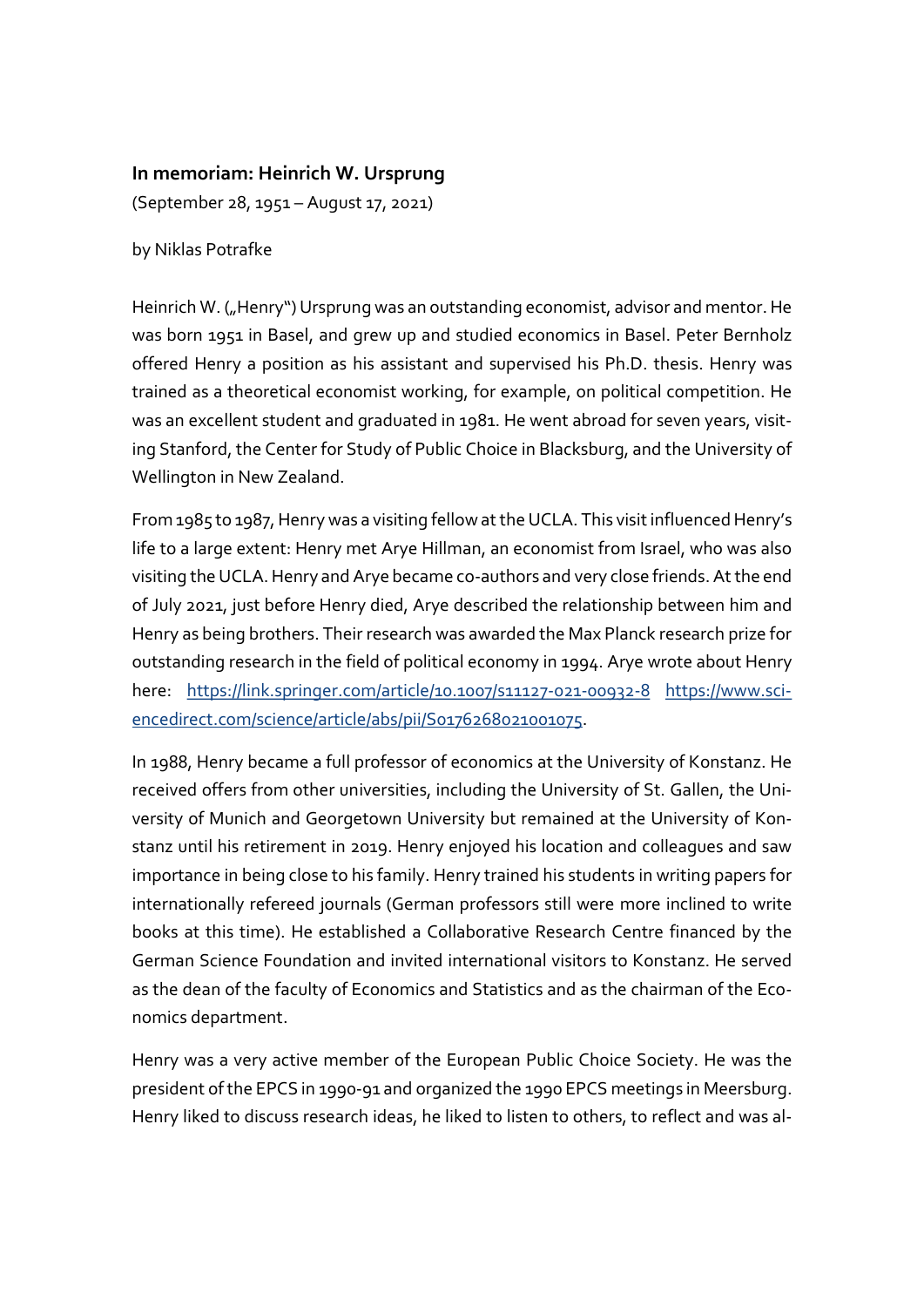## In memoriam: Heinrich W. Ursprung

(September 28, 1951 – August 17, 2021)

by Niklas Potrafke

Heinrich W. ("Henry") Ursprung was an outstanding economist, advisor and mentor. He was born 1951 in Basel, and grew up and studied economics in Basel. Peter Bernholz offered Henry a position as his assistant and supervised his Ph.D. thesis. Henry was trained as a theoretical economist working, for example, on political competition. He was an excellent student and graduated in 1981. He went abroad for seven years, visiting Stanford, the Center for Study of Public Choice in Blacksburg, and the University of Wellington in New Zealand.

From 1985 to 1987, Henry was a visiting fellow at the UCLA. This visit influenced Henry's life to a large extent: Henry met Arye Hillman, an economist from Israel, who was also visiting the UCLA. Henry and Arye became co-authors and very close friends. At the end of July 2021, just before Henry died, Arye described the relationship between him and Henry as being brothers. Their research was awarded the Max Planck research prize for outstanding research in the field of political economy in 1994. Arye wrote about Henry here: https://link.springer.com/article/10.1007/s11127-021-00932-8 https://www.sciencedirect.com/science/article/abs/pii/S0176268021001075.

In 1988, Henry became a full professor of economics at the University of Konstanz. He received offers from other universities, including the University of St. Gallen, the University of Munich and Georgetown University but remained at the University of Konstanz until his retirement in 2019. Henry enjoyed his location and colleagues and saw importance in being close to his family. Henry trained his students in writing papers for internationally refereed journals (German professors still were more inclined to write books at this time). He established a Collaborative Research Centre financed by the German Science Foundation and invited international visitors to Konstanz. He served as the dean of the faculty of Economics and Statistics and as the chairman of the Economics department.

Henry was a very active member of the European Public Choice Society. He was the president of the EPCS in 1990-91 and organized the 1990 EPCS meetings in Meersburg. Henry liked to discuss research ideas, he liked to listen to others, to reflect and was al